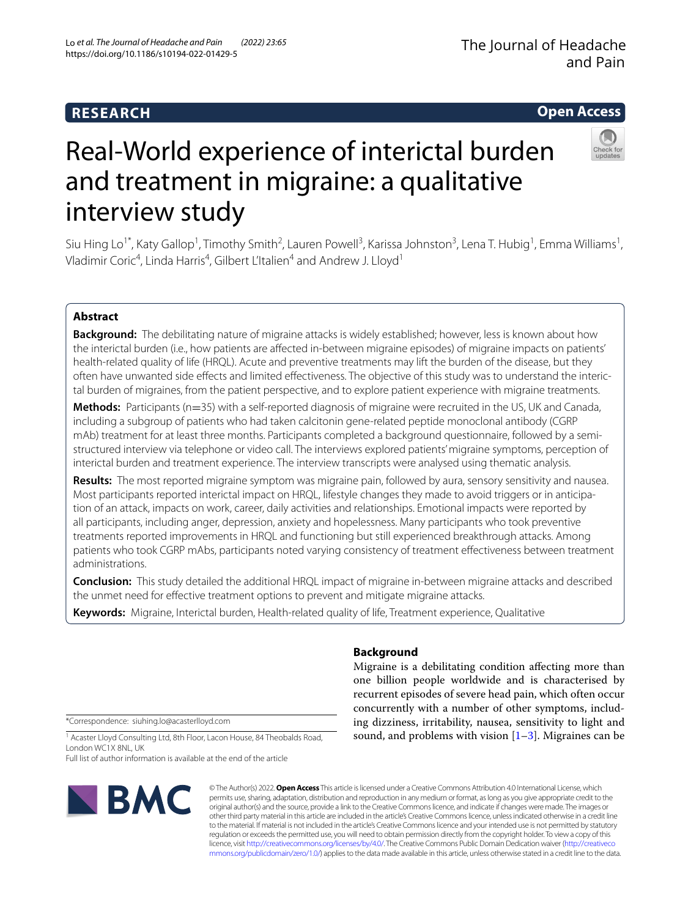## **RESEARCH**

**Open Access**

# Real-World experience of interictal burden and treatment in migraine: a qualitative interview study



Siu Hing Lo<sup>1\*</sup>, Katy Gallop<sup>1</sup>, Timothy Smith<sup>2</sup>, Lauren Powell<sup>3</sup>, Karissa Johnston<sup>3</sup>, Lena T. Hubig<sup>1</sup>, Emma Williams<sup>1</sup>, Vladimir Coric<sup>4</sup>, Linda Harris<sup>4</sup>, Gilbert L'Italien<sup>4</sup> and Andrew J. Lloyd<sup>1</sup>

## **Abstract**

**Background:** The debilitating nature of migraine attacks is widely established; however, less is known about how the interictal burden (i.e., how patients are afected in-between migraine episodes) of migraine impacts on patients' health-related quality of life (HRQL). Acute and preventive treatments may lift the burden of the disease, but they often have unwanted side efects and limited efectiveness. The objective of this study was to understand the interictal burden of migraines, from the patient perspective, and to explore patient experience with migraine treatments.

Methods: Participants (n=35) with a self-reported diagnosis of migraine were recruited in the US, UK and Canada, including a subgroup of patients who had taken calcitonin gene-related peptide monoclonal antibody (CGRP mAb) treatment for at least three months. Participants completed a background questionnaire, followed by a semistructured interview via telephone or video call. The interviews explored patients' migraine symptoms, perception of interictal burden and treatment experience. The interview transcripts were analysed using thematic analysis.

**Results:** The most reported migraine symptom was migraine pain, followed by aura, sensory sensitivity and nausea. Most participants reported interictal impact on HRQL, lifestyle changes they made to avoid triggers or in anticipation of an attack, impacts on work, career, daily activities and relationships. Emotional impacts were reported by all participants, including anger, depression, anxiety and hopelessness. Many participants who took preventive treatments reported improvements in HRQL and functioning but still experienced breakthrough attacks. Among patients who took CGRP mAbs, participants noted varying consistency of treatment efectiveness between treatment administrations.

**Conclusion:** This study detailed the additional HRQL impact of migraine in-between migraine attacks and described the unmet need for efective treatment options to prevent and mitigate migraine attacks.

**Keywords:** Migraine, Interictal burden, Health-related quality of life, Treatment experience, Qualitative

\*Correspondence: siuhing.lo@acasterlloyd.com

<sup>1</sup> Acaster Lloyd Consulting Ltd, 8th Floor, Lacon House, 84 Theobalds Road, London WC1X 8NL, UK

Full list of author information is available at the end of the article



recurrent episodes of severe head pain, which often occur concurrently with a number of other symptoms, includ-

**Background**

ing dizziness, irritability, nausea, sensitivity to light and sound, and problems with vision  $[1-3]$  $[1-3]$ . Migraines can be

Migraine is a debilitating condition afecting more than one billion people worldwide and is characterised by

© The Author(s) 2022. **Open Access** This article is licensed under a Creative Commons Attribution 4.0 International License, which permits use, sharing, adaptation, distribution and reproduction in any medium or format, as long as you give appropriate credit to the original author(s) and the source, provide a link to the Creative Commons licence, and indicate if changes were made. The images or other third party material in this article are included in the article's Creative Commons licence, unless indicated otherwise in a credit line to the material. If material is not included in the article's Creative Commons licence and your intended use is not permitted by statutory regulation or exceeds the permitted use, you will need to obtain permission directly from the copyright holder. To view a copy of this licence, visit [http://creativecommons.org/licenses/by/4.0/.](http://creativecommons.org/licenses/by/4.0/) The Creative Commons Public Domain Dedication waiver ([http://creativeco](http://creativecommons.org/publicdomain/zero/1.0/) [mmons.org/publicdomain/zero/1.0/](http://creativecommons.org/publicdomain/zero/1.0/)) applies to the data made available in this article, unless otherwise stated in a credit line to the data.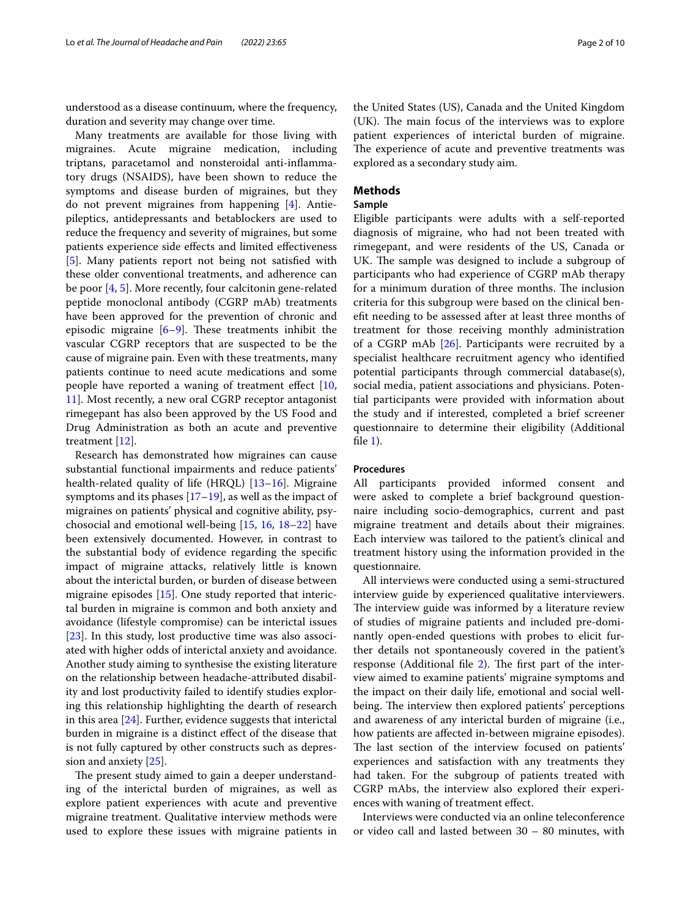understood as a disease continuum, where the frequency, duration and severity may change over time.

Many treatments are available for those living with migraines. Acute migraine medication, including triptans, paracetamol and nonsteroidal anti-infammatory drugs (NSAIDS), have been shown to reduce the symptoms and disease burden of migraines, but they do not prevent migraines from happening [[4\]](#page-8-2). Antiepileptics, antidepressants and betablockers are used to reduce the frequency and severity of migraines, but some patients experience side efects and limited efectiveness [[5\]](#page-8-3). Many patients report not being not satisfed with these older conventional treatments, and adherence can be poor [[4,](#page-8-2) [5](#page-8-3)]. More recently, four calcitonin gene-related peptide monoclonal antibody (CGRP mAb) treatments have been approved for the prevention of chronic and episodic migraine  $[6-9]$  $[6-9]$  $[6-9]$ . These treatments inhibit the vascular CGRP receptors that are suspected to be the cause of migraine pain. Even with these treatments, many patients continue to need acute medications and some people have reported a waning of treatment effect [\[10](#page-9-1), [11\]](#page-9-2). Most recently, a new oral CGRP receptor antagonist rimegepant has also been approved by the US Food and Drug Administration as both an acute and preventive treatment [[12](#page-9-3)].

Research has demonstrated how migraines can cause substantial functional impairments and reduce patients' health-related quality of life (HRQL) [\[13](#page-9-4)[–16\]](#page-9-5). Migraine symptoms and its phases  $[17–19]$  $[17–19]$  $[17–19]$ , as well as the impact of migraines on patients' physical and cognitive ability, psychosocial and emotional well-being [[15](#page-9-8), [16,](#page-9-5) [18–](#page-9-9)[22\]](#page-9-10) have been extensively documented. However, in contrast to the substantial body of evidence regarding the specifc impact of migraine attacks, relatively little is known about the interictal burden, or burden of disease between migraine episodes [[15\]](#page-9-8). One study reported that interictal burden in migraine is common and both anxiety and avoidance (lifestyle compromise) can be interictal issues [[23\]](#page-9-11). In this study, lost productive time was also associated with higher odds of interictal anxiety and avoidance. Another study aiming to synthesise the existing literature on the relationship between headache-attributed disability and lost productivity failed to identify studies exploring this relationship highlighting the dearth of research in this area [[24](#page-9-12)]. Further, evidence suggests that interictal burden in migraine is a distinct efect of the disease that is not fully captured by other constructs such as depression and anxiety [[25](#page-9-13)].

The present study aimed to gain a deeper understanding of the interictal burden of migraines, as well as explore patient experiences with acute and preventive migraine treatment. Qualitative interview methods were used to explore these issues with migraine patients in the United States (US), Canada and the United Kingdom (UK). The main focus of the interviews was to explore patient experiences of interictal burden of migraine. The experience of acute and preventive treatments was explored as a secondary study aim.

## **Methods**

#### **Sample**

Eligible participants were adults with a self-reported diagnosis of migraine, who had not been treated with rimegepant, and were residents of the US, Canada or UK. The sample was designed to include a subgroup of participants who had experience of CGRP mAb therapy for a minimum duration of three months. The inclusion criteria for this subgroup were based on the clinical beneft needing to be assessed after at least three months of treatment for those receiving monthly administration of a CGRP mAb [[26\]](#page-9-14). Participants were recruited by a specialist healthcare recruitment agency who identifed potential participants through commercial database(s), social media, patient associations and physicians. Potential participants were provided with information about the study and if interested, completed a brief screener questionnaire to determine their eligibility (Additional fle [1](#page-8-5)).

#### **Procedures**

All participants provided informed consent and were asked to complete a brief background questionnaire including socio-demographics, current and past migraine treatment and details about their migraines. Each interview was tailored to the patient's clinical and treatment history using the information provided in the questionnaire.

All interviews were conducted using a semi-structured interview guide by experienced qualitative interviewers. The interview guide was informed by a literature review of studies of migraine patients and included pre-dominantly open-ended questions with probes to elicit further details not spontaneously covered in the patient's response (Additional file [2](#page-8-6)). The first part of the interview aimed to examine patients' migraine symptoms and the impact on their daily life, emotional and social wellbeing. The interview then explored patients' perceptions and awareness of any interictal burden of migraine (i.e., how patients are afected in-between migraine episodes). The last section of the interview focused on patients' experiences and satisfaction with any treatments they had taken. For the subgroup of patients treated with CGRP mAbs, the interview also explored their experiences with waning of treatment efect.

Interviews were conducted via an online teleconference or video call and lasted between 30 – 80 minutes, with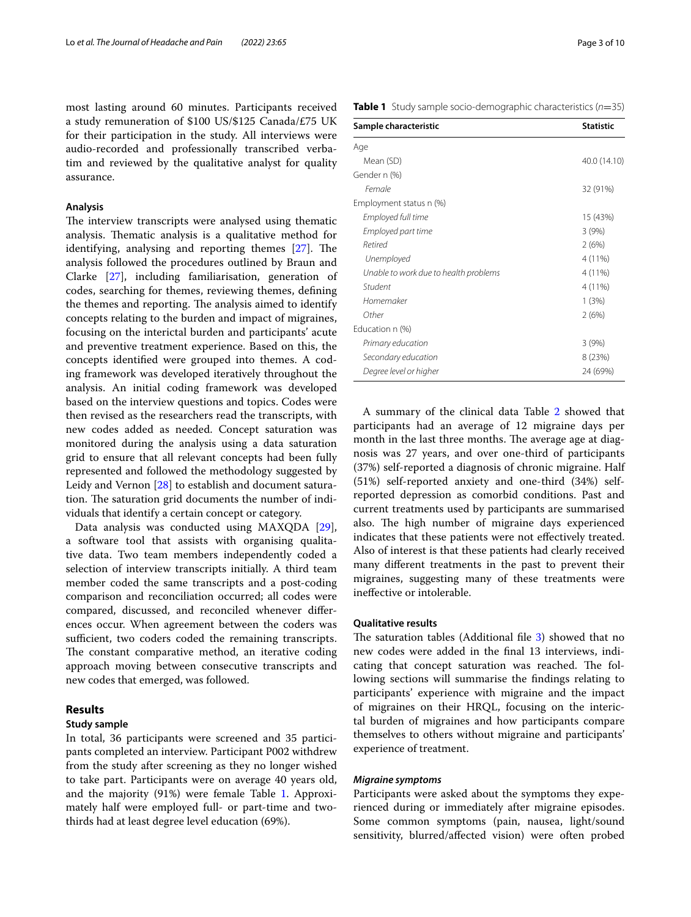most lasting around 60 minutes. Participants received a study remuneration of \$100 US/\$125 Canada/£75 UK for their participation in the study. All interviews were audio-recorded and professionally transcribed verbatim and reviewed by the qualitative analyst for quality assurance.

#### **Analysis**

The interview transcripts were analysed using thematic analysis. Thematic analysis is a qualitative method for identifying, analysing and reporting themes  $[27]$  $[27]$  $[27]$ . The analysis followed the procedures outlined by Braun and Clarke [\[27\]](#page-9-15), including familiarisation, generation of codes, searching for themes, reviewing themes, defning the themes and reporting. The analysis aimed to identify concepts relating to the burden and impact of migraines, focusing on the interictal burden and participants' acute and preventive treatment experience. Based on this, the concepts identifed were grouped into themes. A coding framework was developed iteratively throughout the analysis. An initial coding framework was developed based on the interview questions and topics. Codes were then revised as the researchers read the transcripts, with new codes added as needed. Concept saturation was monitored during the analysis using a data saturation grid to ensure that all relevant concepts had been fully represented and followed the methodology suggested by Leidy and Vernon [[28](#page-9-16)] to establish and document saturation. The saturation grid documents the number of individuals that identify a certain concept or category.

Data analysis was conducted using MAXQDA [\[29](#page-9-17)], a software tool that assists with organising qualitative data. Two team members independently coded a selection of interview transcripts initially. A third team member coded the same transcripts and a post-coding comparison and reconciliation occurred; all codes were compared, discussed, and reconciled whenever diferences occur. When agreement between the coders was sufficient, two coders coded the remaining transcripts. The constant comparative method, an iterative coding approach moving between consecutive transcripts and new codes that emerged, was followed.

## **Results**

## **Study sample**

In total, 36 participants were screened and 35 participants completed an interview. Participant P002 withdrew from the study after screening as they no longer wished to take part. Participants were on average 40 years old, and the majority (91%) were female Table [1.](#page-2-0) Approximately half were employed full- or part-time and twothirds had at least degree level education (69%).

<span id="page-2-0"></span>**Table 1** Study sample socio-demographic characteristics (*n*=35)

| Sample characteristic                 | <b>Statistic</b> |  |
|---------------------------------------|------------------|--|
| Age                                   |                  |  |
| Mean (SD)                             | 40.0 (14.10)     |  |
| Gender n (%)                          |                  |  |
| Female                                | 32 (91%)         |  |
| Employment status n (%)               |                  |  |
| Employed full time                    | 15 (43%)         |  |
| Employed part time                    | 3(9%)            |  |
| Retired                               | 2(6%)            |  |
| Unemployed                            | 4 (11%)          |  |
| Unable to work due to health problems | 4 (11%)          |  |
| Student                               | 4 (11%)          |  |
| Homemaker                             | 1(3%)            |  |
| Other                                 | 2(6%)            |  |
| Education n (%)                       |                  |  |
| Primary education                     | 3(9%)            |  |
| Secondary education                   | 8 (23%)          |  |
| Degree level or higher                | 24 (69%)         |  |

A summary of the clinical data Table [2](#page-3-0) showed that participants had an average of 12 migraine days per month in the last three months. The average age at diagnosis was 27 years, and over one-third of participants (37%) self-reported a diagnosis of chronic migraine. Half (51%) self-reported anxiety and one-third (34%) selfreported depression as comorbid conditions. Past and current treatments used by participants are summarised also. The high number of migraine days experienced indicates that these patients were not efectively treated. Also of interest is that these patients had clearly received many diferent treatments in the past to prevent their migraines, suggesting many of these treatments were inefective or intolerable.

## **Qualitative results**

The saturation tables (Additional file  $3$ ) showed that no new codes were added in the fnal 13 interviews, indicating that concept saturation was reached. The following sections will summarise the fndings relating to participants' experience with migraine and the impact of migraines on their HRQL, focusing on the interictal burden of migraines and how participants compare themselves to others without migraine and participants' experience of treatment.

## *Migraine symptoms*

Participants were asked about the symptoms they experienced during or immediately after migraine episodes. Some common symptoms (pain, nausea, light/sound sensitivity, blurred/afected vision) were often probed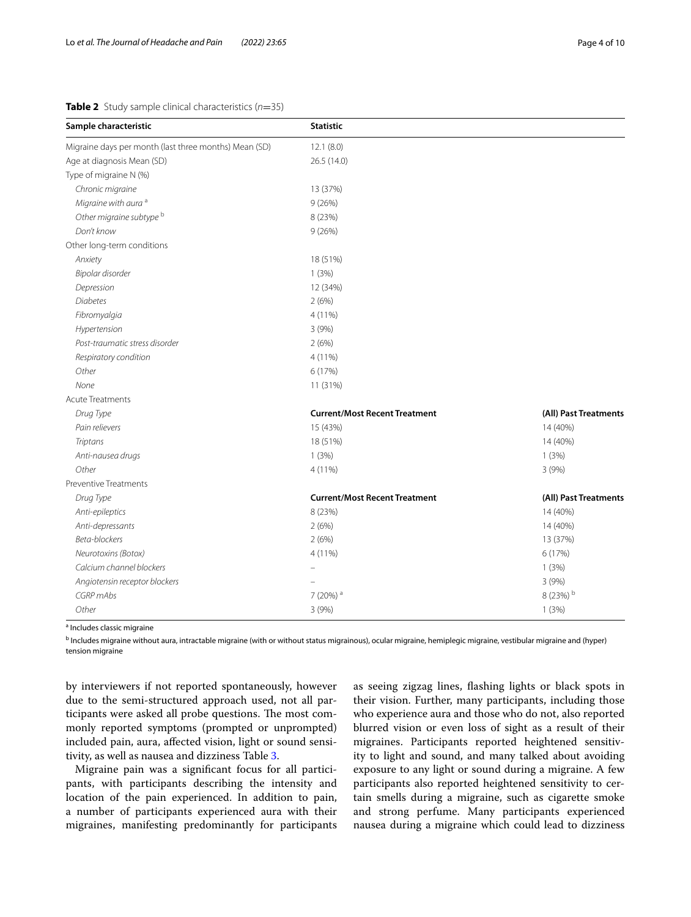## <span id="page-3-0"></span>**Table 2** Study sample clinical characteristics (*n*=35)

| Sample characteristic                                 | <b>Statistic</b>                     |                       |
|-------------------------------------------------------|--------------------------------------|-----------------------|
| Migraine days per month (last three months) Mean (SD) | 12.1(8.0)                            |                       |
| Age at diagnosis Mean (SD)                            | 26.5 (14.0)                          |                       |
| Type of migraine N (%)                                |                                      |                       |
| Chronic migraine                                      | 13 (37%)                             |                       |
| Migraine with aura <sup>a</sup>                       | 9(26%)                               |                       |
| Other migraine subtype b                              | 8 (23%)                              |                       |
| Don't know                                            | 9(26%)                               |                       |
| Other long-term conditions                            |                                      |                       |
| Anxiety                                               | 18 (51%)                             |                       |
| Bipolar disorder                                      | 1(3%)                                |                       |
| Depression                                            | 12 (34%)                             |                       |
| <b>Diabetes</b>                                       | 2(6%)                                |                       |
| Fibromyalgia                                          | 4 (11%)                              |                       |
| Hypertension                                          | 3 (9%)                               |                       |
| Post-traumatic stress disorder                        | 2(6%)                                |                       |
| Respiratory condition                                 | 4 (11%)                              |                       |
| Other                                                 | 6 (17%)                              |                       |
| None                                                  | 11 (31%)                             |                       |
| <b>Acute Treatments</b>                               |                                      |                       |
| Drug Type                                             | <b>Current/Most Recent Treatment</b> | (All) Past Treatments |
| Pain relievers                                        | 15 (43%)                             | 14 (40%)              |
| Triptans                                              | 18 (51%)                             | 14 (40%)              |
| Anti-nausea drugs                                     | 1(3%)                                | 1(3%)                 |
| Other                                                 | 4 (11%)                              | 3(9%)                 |
| Preventive Treatments                                 |                                      |                       |
| Drug Type                                             | <b>Current/Most Recent Treatment</b> | (All) Past Treatments |
| Anti-epileptics                                       | 8 (23%)                              | 14 (40%)              |
| Anti-depressants                                      | 2(6%)                                | 14 (40%)              |
| Beta-blockers                                         | 2(6%)                                | 13 (37%)              |
| Neurotoxins (Botox)                                   | 4 (11%)                              | 6 (17%)               |
| Calcium channel blockers                              |                                      | 1(3%)                 |
| Angiotensin receptor blockers                         |                                      | 3 (9%)                |
| CGRP mAbs                                             | 7 (20%) <sup>a</sup>                 | 8 (23%) b             |
| Other                                                 | 3(9%)                                | 1(3%)                 |

<sup>a</sup> Includes classic migraine

b Includes migraine without aura, intractable migraine (with or without status migrainous), ocular migraine, hemiplegic migraine, vestibular migraine and (hyper) tension migraine

by interviewers if not reported spontaneously, however due to the semi-structured approach used, not all participants were asked all probe questions. The most commonly reported symptoms (prompted or unprompted) included pain, aura, afected vision, light or sound sensitivity, as well as nausea and dizziness Table [3.](#page-4-0)

Migraine pain was a signifcant focus for all participants, with participants describing the intensity and location of the pain experienced. In addition to pain, a number of participants experienced aura with their migraines, manifesting predominantly for participants as seeing zigzag lines, fashing lights or black spots in their vision. Further, many participants, including those who experience aura and those who do not, also reported blurred vision or even loss of sight as a result of their migraines. Participants reported heightened sensitivity to light and sound, and many talked about avoiding exposure to any light or sound during a migraine. A few participants also reported heightened sensitivity to certain smells during a migraine, such as cigarette smoke and strong perfume. Many participants experienced nausea during a migraine which could lead to dizziness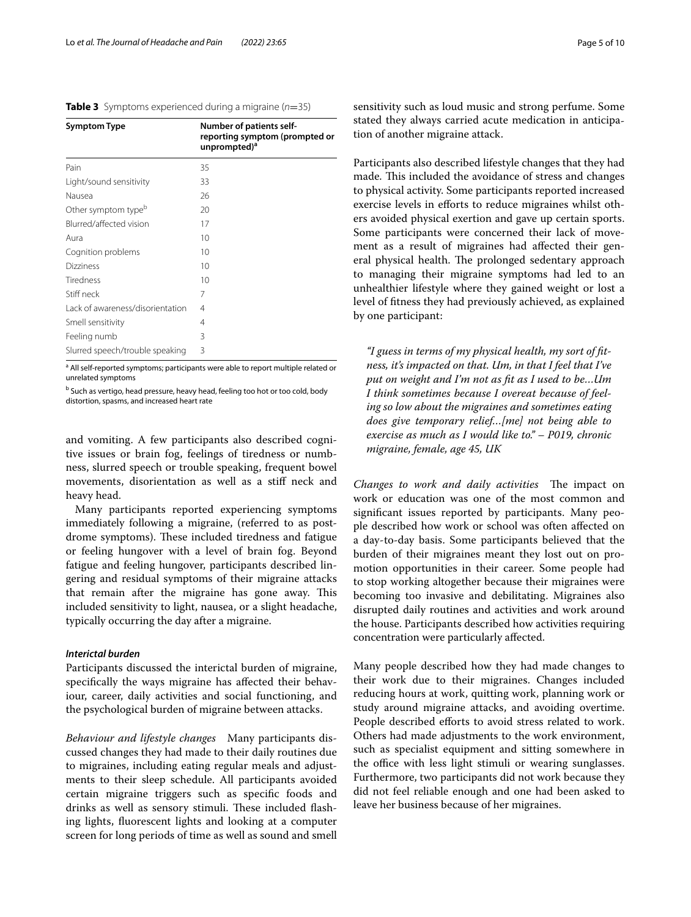<span id="page-4-0"></span>

| <b>Table 3</b> Symptoms experienced during a migraine ( $n=35$ ) |  |
|------------------------------------------------------------------|--|
|------------------------------------------------------------------|--|

| <b>Symptom Type</b>              | <b>Number of patients self-</b><br>reporting symptom (prompted or<br>unprompted) <sup>a</sup> |
|----------------------------------|-----------------------------------------------------------------------------------------------|
| Pain                             | 35                                                                                            |
| Light/sound sensitivity          | 33                                                                                            |
| Nausea                           | 26                                                                                            |
| Other symptom type <sup>b</sup>  | 20                                                                                            |
| Blurred/affected vision          | 17                                                                                            |
| Aura                             | 10                                                                                            |
| Cognition problems               | 10                                                                                            |
| <b>Dizziness</b>                 | 10                                                                                            |
| <b>Tiredness</b>                 | 10                                                                                            |
| Stiff neck                       | 7                                                                                             |
| Lack of awareness/disorientation | 4                                                                                             |
| Smell sensitivity                | 4                                                                                             |
| Feeling numb                     | 3                                                                                             |
| Slurred speech/trouble speaking  | 3                                                                                             |

<sup>a</sup> All self-reported symptoms; participants were able to report multiple related or unrelated symptoms

<sup>b</sup> Such as vertigo, head pressure, heavy head, feeling too hot or too cold, body distortion, spasms, and increased heart rate

and vomiting. A few participants also described cognitive issues or brain fog, feelings of tiredness or numbness, slurred speech or trouble speaking, frequent bowel movements, disorientation as well as a stif neck and heavy head.

Many participants reported experiencing symptoms immediately following a migraine, (referred to as postdrome symptoms). These included tiredness and fatigue or feeling hungover with a level of brain fog. Beyond fatigue and feeling hungover, participants described lingering and residual symptoms of their migraine attacks that remain after the migraine has gone away. This included sensitivity to light, nausea, or a slight headache, typically occurring the day after a migraine.

#### *Interictal burden*

Participants discussed the interictal burden of migraine, specifcally the ways migraine has afected their behaviour, career, daily activities and social functioning, and the psychological burden of migraine between attacks.

*Behaviour and lifestyle changes* Many participants discussed changes they had made to their daily routines due to migraines, including eating regular meals and adjustments to their sleep schedule. All participants avoided certain migraine triggers such as specifc foods and drinks as well as sensory stimuli. These included flashing lights, fuorescent lights and looking at a computer screen for long periods of time as well as sound and smell sensitivity such as loud music and strong perfume. Some stated they always carried acute medication in anticipation of another migraine attack.

Participants also described lifestyle changes that they had made. This included the avoidance of stress and changes to physical activity. Some participants reported increased exercise levels in eforts to reduce migraines whilst others avoided physical exertion and gave up certain sports. Some participants were concerned their lack of movement as a result of migraines had afected their general physical health. The prolonged sedentary approach to managing their migraine symptoms had led to an unhealthier lifestyle where they gained weight or lost a level of ftness they had previously achieved, as explained by one participant:

*"I guess in terms of my physical health, my sort of ftness, it's impacted on that. Um, in that I feel that I've put on weight and I'm not as ft as I used to be…Um I think sometimes because I overeat because of feeling so low about the migraines and sometimes eating does give temporary relief…[me] not being able to exercise as much as I would like to." – P019, chronic migraine, female, age 45, UK*

*Changes to work and daily activities* The impact on work or education was one of the most common and signifcant issues reported by participants. Many people described how work or school was often afected on a day-to-day basis. Some participants believed that the burden of their migraines meant they lost out on promotion opportunities in their career. Some people had to stop working altogether because their migraines were becoming too invasive and debilitating. Migraines also disrupted daily routines and activities and work around the house. Participants described how activities requiring concentration were particularly afected.

Many people described how they had made changes to their work due to their migraines. Changes included reducing hours at work, quitting work, planning work or study around migraine attacks, and avoiding overtime. People described efforts to avoid stress related to work. Others had made adjustments to the work environment, such as specialist equipment and sitting somewhere in the office with less light stimuli or wearing sunglasses. Furthermore, two participants did not work because they did not feel reliable enough and one had been asked to leave her business because of her migraines.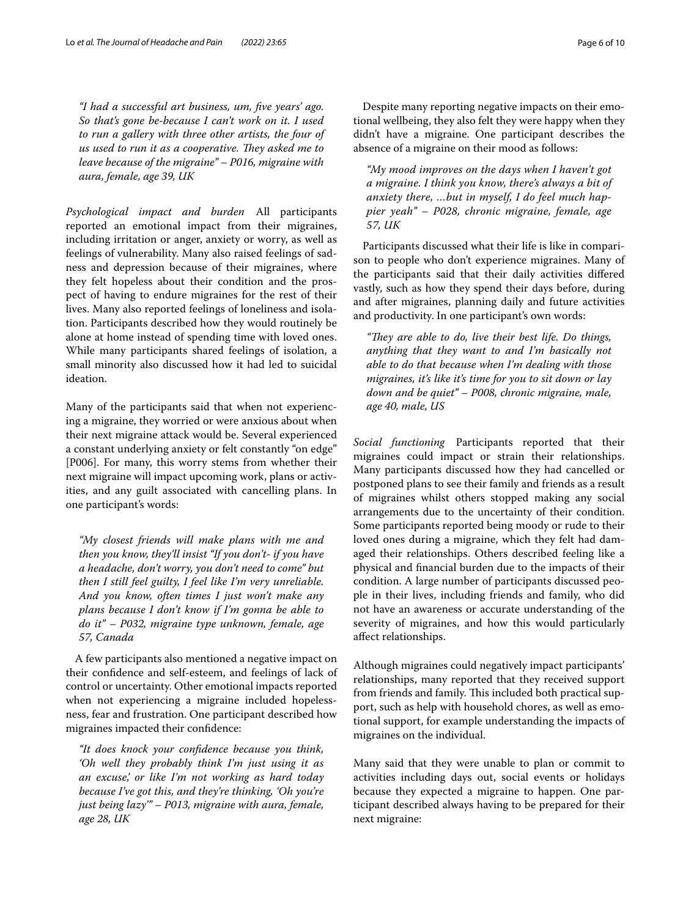*"I had a successful art business, um, fve years' ago. So that's gone be-because I can't work on it. I used to run a gallery with three other artists, the four of us used to run it as a cooperative. They asked me to leave because of the migraine" – P016, migraine with aura, female, age 39, UK*

*Psychological impact and burden* All participants reported an emotional impact from their migraines, including irritation or anger, anxiety or worry, as well as feelings of vulnerability. Many also raised feelings of sadness and depression because of their migraines, where they felt hopeless about their condition and the prospect of having to endure migraines for the rest of their lives. Many also reported feelings of loneliness and isolation. Participants described how they would routinely be alone at home instead of spending time with loved ones. While many participants shared feelings of isolation, a small minority also discussed how it had led to suicidal ideation.

Many of the participants said that when not experiencing a migraine, they worried or were anxious about when their next migraine attack would be. Several experienced a constant underlying anxiety or felt constantly "on edge" [P006]. For many, this worry stems from whether their next migraine will impact upcoming work, plans or activities, and any guilt associated with cancelling plans. In one participant's words:

*"My closest friends will make plans with me and then you know, they'll insist "If you don't- if you have a headache, don't worry, you don't need to come" but then I still feel guilty, I feel like I'm very unreliable. And you know, often times I just won't make any plans because I don't know if I'm gonna be able to do it" – P032, migraine type unknown, female, age 57, Canada*

A few participants also mentioned a negative impact on their confdence and self-esteem, and feelings of lack of control or uncertainty. Other emotional impacts reported when not experiencing a migraine included hopelessness, fear and frustration. One participant described how migraines impacted their confdence:

*"It does knock your confdence because you think, 'Oh well they probably think I'm just using it as an excuse,' or like I'm not working as hard today because I've got this, and they're thinking, 'Oh you're just being lazy'" – P013, migraine with aura, female, age 28, UK*

Despite many reporting negative impacts on their emotional wellbeing, they also felt they were happy when they didn't have a migraine. One participant describes the absence of a migraine on their mood as follows:

*"My mood improves on the days when I haven't got a migraine. I think you know, there's always a bit of anxiety there, …but in myself, I do feel much happier yeah" – P028, chronic migraine, female, age 57, UK*

Participants discussed what their life is like in comparison to people who don't experience migraines. Many of the participants said that their daily activities difered vastly, such as how they spend their days before, during and after migraines, planning daily and future activities and productivity. In one participant's own words:

"They are able to do, live their best life. Do things, *anything that they want to and I'm basically not able to do that because when I'm dealing with those migraines, it's like it's time for you to sit down or lay down and be quiet" – P008, chronic migraine, male, age 40, male, US*

*Social functioning* Participants reported that their migraines could impact or strain their relationships. Many participants discussed how they had cancelled or postponed plans to see their family and friends as a result of migraines whilst others stopped making any social arrangements due to the uncertainty of their condition. Some participants reported being moody or rude to their loved ones during a migraine, which they felt had damaged their relationships. Others described feeling like a physical and fnancial burden due to the impacts of their condition. A large number of participants discussed people in their lives, including friends and family, who did not have an awareness or accurate understanding of the severity of migraines, and how this would particularly afect relationships.

Although migraines could negatively impact participants' relationships, many reported that they received support from friends and family. This included both practical support, such as help with household chores, as well as emotional support, for example understanding the impacts of migraines on the individual.

Many said that they were unable to plan or commit to activities including days out, social events or holidays because they expected a migraine to happen. One participant described always having to be prepared for their next migraine: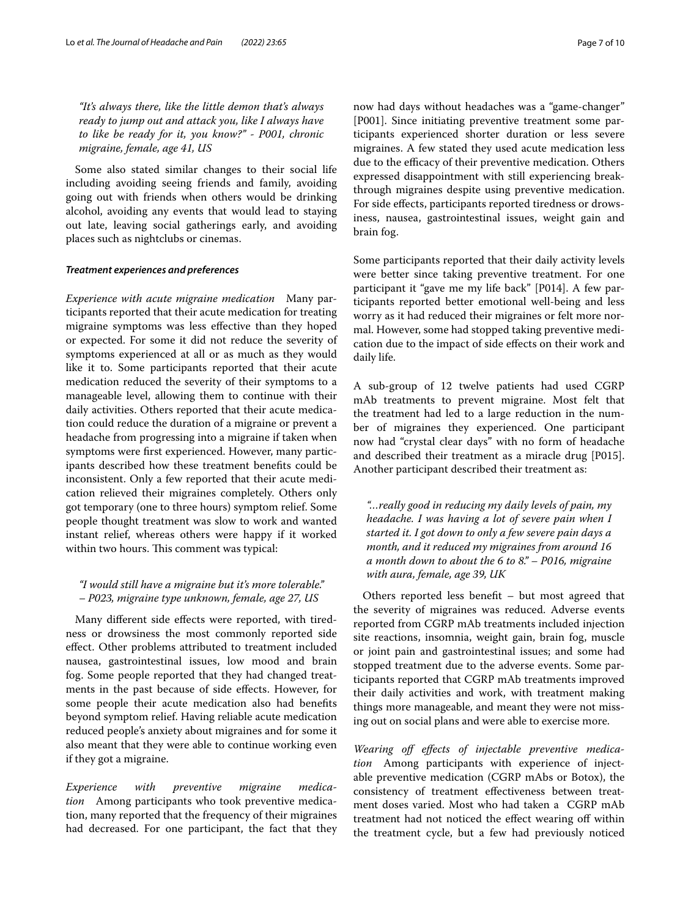*"It's always there, like the little demon that's always ready to jump out and attack you, like I always have to like be ready for it, you know?" - P001, chronic migraine, female, age 41, US*

Some also stated similar changes to their social life including avoiding seeing friends and family, avoiding going out with friends when others would be drinking alcohol, avoiding any events that would lead to staying out late, leaving social gatherings early, and avoiding places such as nightclubs or cinemas.

#### *Treatment experiences and preferences*

*Experience with acute migraine medication* Many participants reported that their acute medication for treating migraine symptoms was less efective than they hoped or expected. For some it did not reduce the severity of symptoms experienced at all or as much as they would like it to. Some participants reported that their acute medication reduced the severity of their symptoms to a manageable level, allowing them to continue with their daily activities. Others reported that their acute medication could reduce the duration of a migraine or prevent a headache from progressing into a migraine if taken when symptoms were frst experienced. However, many participants described how these treatment benefts could be inconsistent. Only a few reported that their acute medication relieved their migraines completely. Others only got temporary (one to three hours) symptom relief. Some people thought treatment was slow to work and wanted instant relief, whereas others were happy if it worked within two hours. This comment was typical:

## *"I would still have a migraine but it's more tolerable." – P023, migraine type unknown, female, age 27, US*

Many diferent side efects were reported, with tiredness or drowsiness the most commonly reported side efect. Other problems attributed to treatment included nausea, gastrointestinal issues, low mood and brain fog. Some people reported that they had changed treatments in the past because of side efects. However, for some people their acute medication also had benefts beyond symptom relief. Having reliable acute medication reduced people's anxiety about migraines and for some it also meant that they were able to continue working even if they got a migraine.

*Experience with preventive migraine medication* Among participants who took preventive medication, many reported that the frequency of their migraines had decreased. For one participant, the fact that they now had days without headaches was a "game-changer" [P001]. Since initiating preventive treatment some participants experienced shorter duration or less severe migraines. A few stated they used acute medication less due to the efficacy of their preventive medication. Others expressed disappointment with still experiencing breakthrough migraines despite using preventive medication. For side efects, participants reported tiredness or drowsiness, nausea, gastrointestinal issues, weight gain and brain fog.

Some participants reported that their daily activity levels were better since taking preventive treatment. For one participant it "gave me my life back" [P014]. A few participants reported better emotional well-being and less worry as it had reduced their migraines or felt more normal. However, some had stopped taking preventive medication due to the impact of side efects on their work and daily life.

A sub-group of 12 twelve patients had used CGRP mAb treatments to prevent migraine. Most felt that the treatment had led to a large reduction in the number of migraines they experienced. One participant now had "crystal clear days" with no form of headache and described their treatment as a miracle drug [P015]. Another participant described their treatment as:

*"…really good in reducing my daily levels of pain, my headache. I was having a lot of severe pain when I started it. I got down to only a few severe pain days a month, and it reduced my migraines from around 16 a month down to about the 6 to 8." – P016, migraine with aura, female, age 39, UK*

Others reported less beneft – but most agreed that the severity of migraines was reduced. Adverse events reported from CGRP mAb treatments included injection site reactions, insomnia, weight gain, brain fog, muscle or joint pain and gastrointestinal issues; and some had stopped treatment due to the adverse events. Some participants reported that CGRP mAb treatments improved their daily activities and work, with treatment making things more manageable, and meant they were not missing out on social plans and were able to exercise more.

*Wearing of efects of injectable preventive medication* Among participants with experience of injectable preventive medication (CGRP mAbs or Botox), the consistency of treatment efectiveness between treatment doses varied. Most who had taken a CGRP mAb treatment had not noticed the efect wearing of within the treatment cycle, but a few had previously noticed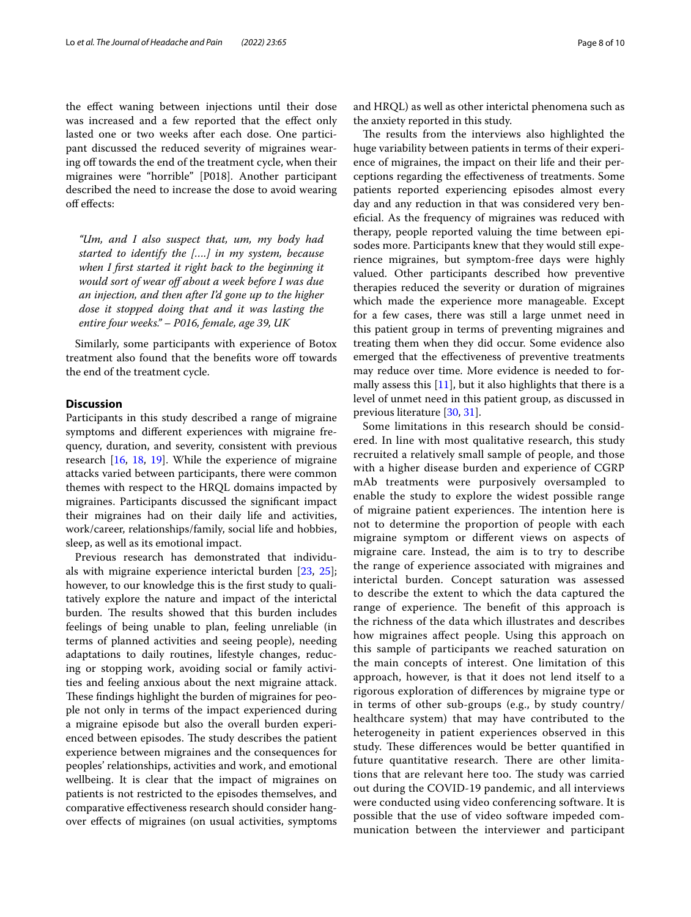the efect waning between injections until their dose was increased and a few reported that the efect only lasted one or two weeks after each dose. One participant discussed the reduced severity of migraines wearing off towards the end of the treatment cycle, when their migraines were "horrible" [P018]. Another participant described the need to increase the dose to avoid wearing of efects:

*"Um, and I also suspect that, um, my body had started to identify the [….] in my system, because when I frst started it right back to the beginning it would sort of wear of about a week before I was due an injection, and then after I'd gone up to the higher dose it stopped doing that and it was lasting the entire four weeks." – P016, female, age 39, UK*

Similarly, some participants with experience of Botox treatment also found that the benefts wore of towards the end of the treatment cycle.

## **Discussion**

Participants in this study described a range of migraine symptoms and diferent experiences with migraine frequency, duration, and severity, consistent with previous research [\[16](#page-9-5), [18,](#page-9-9) [19\]](#page-9-7). While the experience of migraine attacks varied between participants, there were common themes with respect to the HRQL domains impacted by migraines. Participants discussed the signifcant impact their migraines had on their daily life and activities, work/career, relationships/family, social life and hobbies, sleep, as well as its emotional impact.

Previous research has demonstrated that individuals with migraine experience interictal burden [\[23](#page-9-11), [25](#page-9-13)]; however, to our knowledge this is the frst study to qualitatively explore the nature and impact of the interictal burden. The results showed that this burden includes feelings of being unable to plan, feeling unreliable (in terms of planned activities and seeing people), needing adaptations to daily routines, lifestyle changes, reducing or stopping work, avoiding social or family activities and feeling anxious about the next migraine attack. These findings highlight the burden of migraines for people not only in terms of the impact experienced during a migraine episode but also the overall burden experienced between episodes. The study describes the patient experience between migraines and the consequences for peoples' relationships, activities and work, and emotional wellbeing. It is clear that the impact of migraines on patients is not restricted to the episodes themselves, and comparative efectiveness research should consider hangover efects of migraines (on usual activities, symptoms and HRQL) as well as other interictal phenomena such as the anxiety reported in this study.

The results from the interviews also highlighted the huge variability between patients in terms of their experience of migraines, the impact on their life and their perceptions regarding the efectiveness of treatments. Some patients reported experiencing episodes almost every day and any reduction in that was considered very benefcial. As the frequency of migraines was reduced with therapy, people reported valuing the time between episodes more. Participants knew that they would still experience migraines, but symptom-free days were highly valued. Other participants described how preventive therapies reduced the severity or duration of migraines which made the experience more manageable. Except for a few cases, there was still a large unmet need in this patient group in terms of preventing migraines and treating them when they did occur. Some evidence also emerged that the efectiveness of preventive treatments may reduce over time. More evidence is needed to formally assess this [[11](#page-9-2)], but it also highlights that there is a level of unmet need in this patient group, as discussed in previous literature [\[30](#page-9-18), [31\]](#page-9-19).

Some limitations in this research should be considered. In line with most qualitative research, this study recruited a relatively small sample of people, and those with a higher disease burden and experience of CGRP mAb treatments were purposively oversampled to enable the study to explore the widest possible range of migraine patient experiences. The intention here is not to determine the proportion of people with each migraine symptom or diferent views on aspects of migraine care. Instead, the aim is to try to describe the range of experience associated with migraines and interictal burden. Concept saturation was assessed to describe the extent to which the data captured the range of experience. The benefit of this approach is the richness of the data which illustrates and describes how migraines afect people. Using this approach on this sample of participants we reached saturation on the main concepts of interest. One limitation of this approach, however, is that it does not lend itself to a rigorous exploration of diferences by migraine type or in terms of other sub-groups (e.g., by study country/ healthcare system) that may have contributed to the heterogeneity in patient experiences observed in this study. These differences would be better quantified in future quantitative research. There are other limitations that are relevant here too. The study was carried out during the COVID-19 pandemic, and all interviews were conducted using video conferencing software. It is possible that the use of video software impeded communication between the interviewer and participant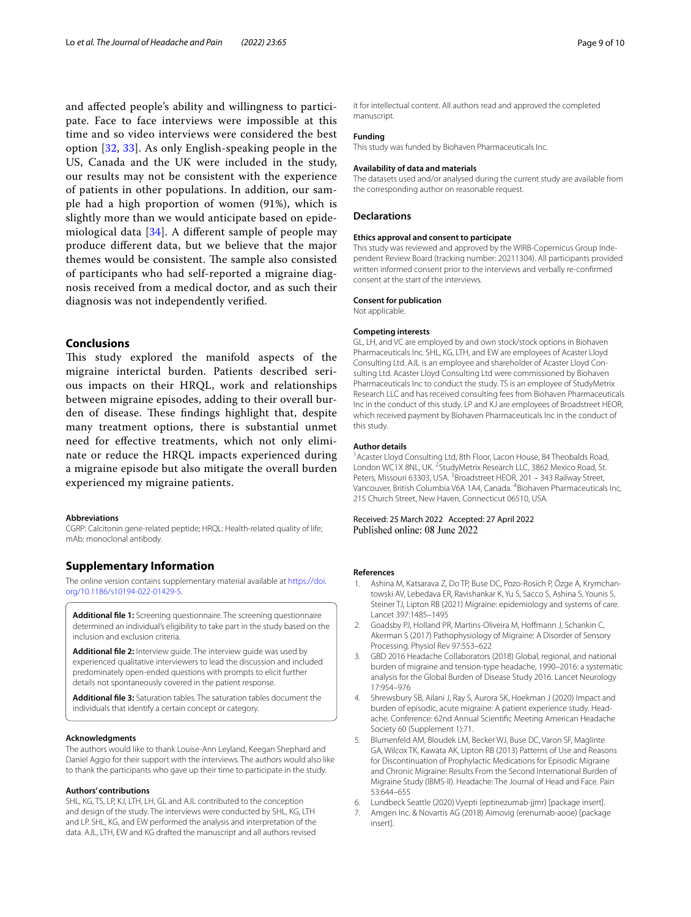and afected people's ability and willingness to participate. Face to face interviews were impossible at this time and so video interviews were considered the best option [[32,](#page-9-20) [33](#page-9-21)]. As only English-speaking people in the US, Canada and the UK were included in the study, our results may not be consistent with the experience of patients in other populations. In addition, our sample had a high proportion of women (91%), which is slightly more than we would anticipate based on epidemiological data [[34\]](#page-9-22). A diferent sample of people may produce diferent data, but we believe that the major themes would be consistent. The sample also consisted of participants who had self-reported a migraine diagnosis received from a medical doctor, and as such their diagnosis was not independently verifed.

## **Conclusions**

This study explored the manifold aspects of the migraine interictal burden. Patients described serious impacts on their HRQL, work and relationships between migraine episodes, adding to their overall burden of disease. These findings highlight that, despite many treatment options, there is substantial unmet need for efective treatments, which not only eliminate or reduce the HRQL impacts experienced during a migraine episode but also mitigate the overall burden experienced my migraine patients.

#### **Abbreviations**

CGRP: Calcitonin gene-related peptide; HRQL: Health-related quality of life; mAb: monoclonal antibody.

## **Supplementary Information**

The online version contains supplementary material available at [https://doi.](https://doi.org/10.1186/s10194-022-01429-5) [org/10.1186/s10194-022-01429-5](https://doi.org/10.1186/s10194-022-01429-5).

<span id="page-8-5"></span>**Additional fle 1:** Screening questionnaire. The screening questionnaire determined an individual's eligibility to take part in the study based on the inclusion and exclusion criteria.

<span id="page-8-6"></span>**Additional fle 2:** Interview guide. The interview guide was used by experienced qualitative interviewers to lead the discussion and included predominately open-ended questions with prompts to elicit further details not spontaneously covered in the patient response.

<span id="page-8-7"></span>**Additional fle 3:** Saturation tables. The saturation tables document the individuals that identify a certain concept or category.

#### **Acknowledgments**

The authors would like to thank Louise-Ann Leyland, Keegan Shephard and Daniel Aggio for their support with the interviews. The authors would also like to thank the participants who gave up their time to participate in the study.

#### **Authors' contributions**

SHL, KG, TS, LP, KJ, LTH, LH, GL and AJL contributed to the conception and design of the study. The interviews were conducted by SHL, KG, LTH and LP. SHL, KG, and EW performed the analysis and interpretation of the data. AJL, LTH, EW and KG drafted the manuscript and all authors revised it for intellectual content. All authors read and approved the completed manuscript.

#### **Funding**

This study was funded by Biohaven Pharmaceuticals Inc.

#### **Availability of data and materials**

The datasets used and/or analysed during the current study are available from the corresponding author on reasonable request.

#### **Declarations**

## **Ethics approval and consent to participate**

This study was reviewed and approved by the WIRB-Copernicus Group Independent Review Board (tracking number: 20211304). All participants provided written informed consent prior to the interviews and verbally re-confrmed consent at the start of the interviews.

#### **Consent for publication**

Not applicable.

#### **Competing interests**

GL, LH, and VC are employed by and own stock/stock options in Biohaven Pharmaceuticals Inc. SHL, KG, LTH, and EW are employees of Acaster Lloyd Consulting Ltd. AJL is an employee and shareholder of Acaster Lloyd Consulting Ltd. Acaster Lloyd Consulting Ltd were commissioned by Biohaven Pharmaceuticals Inc to conduct the study. TS is an employee of StudyMetrix Research LLC and has received consulting fees from Biohaven Pharmaceuticals Inc in the conduct of this study. LP and KJ are employees of Broadstreet HEOR, which received payment by Biohaven Pharmaceuticals Inc in the conduct of this study.

#### **Author details**

<sup>1</sup> Acaster Lloyd Consulting Ltd, 8th Floor, Lacon House, 84 Theobalds Road, London WC1X 8NL, UK.<sup>2</sup> StudyMetrix Research LLC, 3862 Mexico Road, St. Peters, Missouri 63303, USA. <sup>3</sup> Broadstreet HEOR, 201 - 343 Railway Street, Vancouver, British Columbia V6A 1A4, Canada. <sup>4</sup> Biohaven Pharmaceuticals Inc, 215 Church Street, New Haven, Connecticut 06510, USA.

Received: 25 March 2022 Accepted: 27 April 2022

#### **References**

- <span id="page-8-0"></span>1. Ashina M, Katsarava Z, Do TP, Buse DC, Pozo-Rosich P, Özge A, Krymchantowski AV, Lebedava ER, Ravishankar K, Yu S, Sacco S, Ashina S, Younis S, Steiner TJ, Lipton RB (2021) Migraine: epidemiology and systems of care. Lancet 397:1485–1495
- 2. Goadsby PJ, Holland PR, Martins-Oliveira M, Hofmann J, Schankin C, Akerman S (2017) Pathophysiology of Migraine: A Disorder of Sensory Processing. Physiol Rev 97:553–622
- <span id="page-8-1"></span>3. GBD 2016 Headache Collaborators (2018) Global, regional, and national burden of migraine and tension-type headache, 1990–2016: a systematic analysis for the Global Burden of Disease Study 2016. Lancet Neurology 17:954–976
- <span id="page-8-2"></span>4. Shrewsbury SB, Ailani J, Ray S, Aurora SK, Hoekman J (2020) Impact and burden of episodic, acute migraine: A patient experience study. Headache. Conference: 62nd Annual Scientifc Meeting American Headache Society 60 (Supplement 1):71.
- <span id="page-8-3"></span>5. Blumenfeld AM, Bloudek LM, Becker WJ, Buse DC, Varon SF, Maglinte GA, Wilcox TK, Kawata AK, Lipton RB (2013) Patterns of Use and Reasons for Discontinuation of Prophylactic Medications for Episodic Migraine and Chronic Migraine: Results From the Second International Burden of Migraine Study (IBMS-II). Headache: The Journal of Head and Face. Pain 53:644–655
- <span id="page-8-4"></span>6. Lundbeck Seattle (2020) Vyepti (eptinezumab-jjmr) [package insert].
- 7. Amgen Inc. & Novartis AG (2018) Aimovig (erenumab-aooe) [package insert].